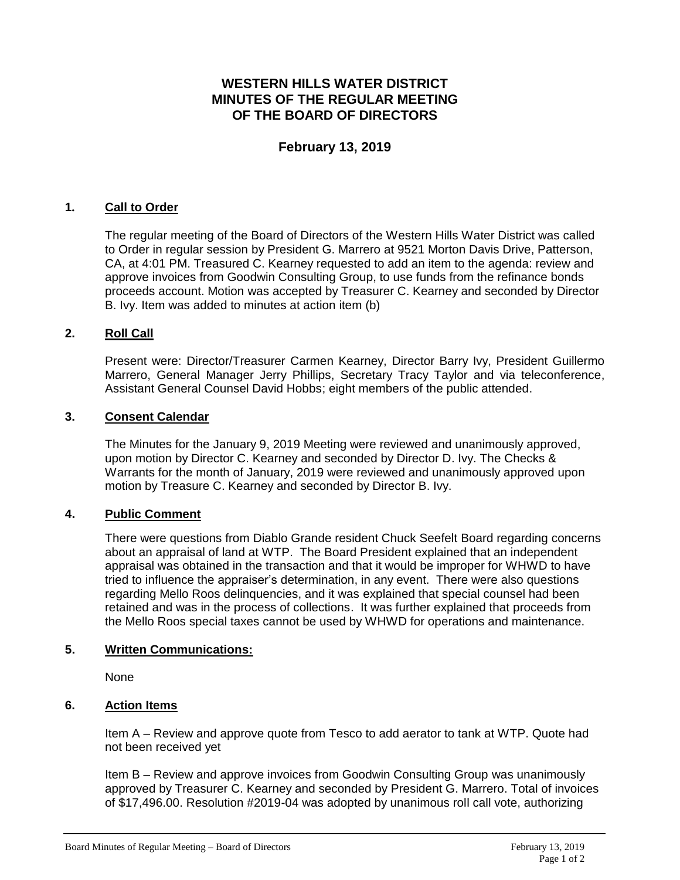# **WESTERN HILLS WATER DISTRICT MINUTES OF THE REGULAR MEETING OF THE BOARD OF DIRECTORS**

## **February 13, 2019**

## **1. Call to Order**

The regular meeting of the Board of Directors of the Western Hills Water District was called to Order in regular session by President G. Marrero at 9521 Morton Davis Drive, Patterson, CA, at 4:01 PM. Treasured C. Kearney requested to add an item to the agenda: review and approve invoices from Goodwin Consulting Group, to use funds from the refinance bonds proceeds account. Motion was accepted by Treasurer C. Kearney and seconded by Director B. Ivy. Item was added to minutes at action item (b)

### **2. Roll Call**

Present were: Director/Treasurer Carmen Kearney, Director Barry Ivy, President Guillermo Marrero, General Manager Jerry Phillips, Secretary Tracy Taylor and via teleconference, Assistant General Counsel David Hobbs; eight members of the public attended.

## **3. Consent Calendar**

The Minutes for the January 9, 2019 Meeting were reviewed and unanimously approved, upon motion by Director C. Kearney and seconded by Director D. Ivy. The Checks & Warrants for the month of January, 2019 were reviewed and unanimously approved upon motion by Treasure C. Kearney and seconded by Director B. Ivy.

#### **4. Public Comment**

There were questions from Diablo Grande resident Chuck Seefelt Board regarding concerns about an appraisal of land at WTP. The Board President explained that an independent appraisal was obtained in the transaction and that it would be improper for WHWD to have tried to influence the appraiser's determination, in any event. There were also questions regarding Mello Roos delinquencies, and it was explained that special counsel had been retained and was in the process of collections. It was further explained that proceeds from the Mello Roos special taxes cannot be used by WHWD for operations and maintenance.

#### **5. Written Communications:**

None

## **6. Action Items**

Item A – Review and approve quote from Tesco to add aerator to tank at WTP. Quote had not been received yet

Item B – Review and approve invoices from Goodwin Consulting Group was unanimously approved by Treasurer C. Kearney and seconded by President G. Marrero. Total of invoices of \$17,496.00. Resolution #2019-04 was adopted by unanimous roll call vote, authorizing